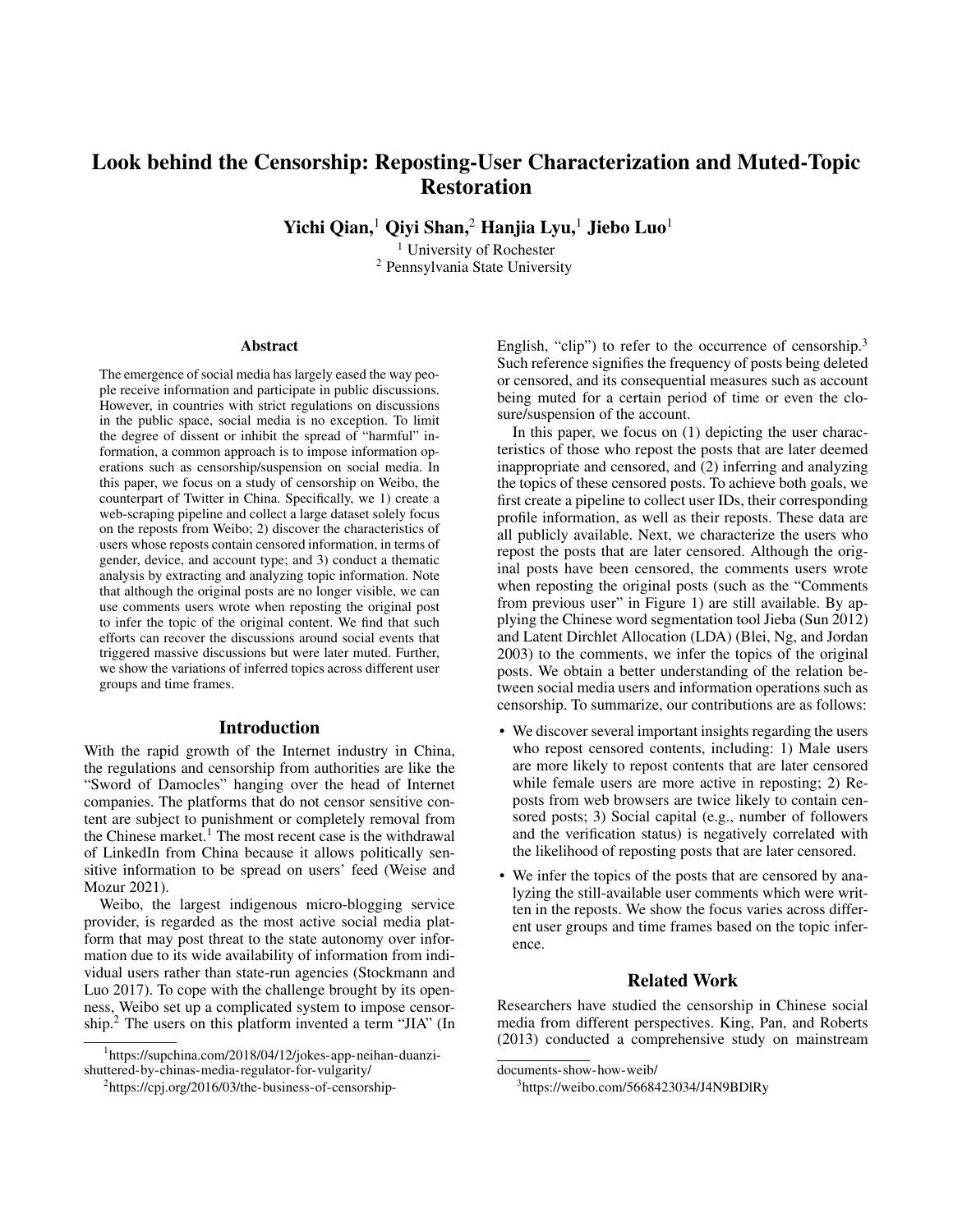# Look behind the Censorship: Reposting-User Characterization and Muted-Topic **Restoration**

Yichi Qian,<sup>1</sup> Qiyi Shan,<sup>2</sup> Hanjia Lyu,<sup>1</sup> Jiebo Luo<sup>1</sup>

<sup>1</sup> University of Rochester <sup>2</sup> Pennsylvania State University

#### Abstract

The emergence of social media has largely eased the way people receive information and participate in public discussions. However, in countries with strict regulations on discussions in the public space, social media is no exception. To limit the degree of dissent or inhibit the spread of "harmful" information, a common approach is to impose information operations such as censorship/suspension on social media. In this paper, we focus on a study of censorship on Weibo, the counterpart of Twitter in China. Specifically, we 1) create a web-scraping pipeline and collect a large dataset solely focus on the reposts from Weibo; 2) discover the characteristics of users whose reposts contain censored information, in terms of gender, device, and account type; and 3) conduct a thematic analysis by extracting and analyzing topic information. Note that although the original posts are no longer visible, we can use comments users wrote when reposting the original post to infer the topic of the original content. We find that such efforts can recover the discussions around social events that triggered massive discussions but were later muted. Further, we show the variations of inferred topics across different user groups and time frames.

#### Introduction

With the rapid growth of the Internet industry in China, the regulations and censorship from authorities are like the "Sword of Damocles" hanging over the head of Internet companies. The platforms that do not censor sensitive content are subject to punishment or completely removal from the Chinese market.<sup>1</sup> The most recent case is the withdrawal of LinkedIn from China because it allows politically sensitive information to be spread on users' feed (Weise and Mozur 2021).

Weibo, the largest indigenous micro-blogging service provider, is regarded as the most active social media platform that may post threat to the state autonomy over information due to its wide availability of information from individual users rather than state-run agencies (Stockmann and Luo 2017). To cope with the challenge brought by its openness, Weibo set up a complicated system to impose censorship.<sup>2</sup> The users on this platform invented a term "JIA" (In

1 https://supchina.com/2018/04/12/jokes-app-neihan-duanzishuttered-by-chinas-media-regulator-for-vulgarity/

English, "clip") to refer to the occurrence of censorship.<sup>3</sup> Such reference signifies the frequency of posts being deleted or censored, and its consequential measures such as account being muted for a certain period of time or even the closure/suspension of the account.

In this paper, we focus on (1) depicting the user characteristics of those who repost the posts that are later deemed inappropriate and censored, and (2) inferring and analyzing the topics of these censored posts. To achieve both goals, we first create a pipeline to collect user IDs, their corresponding profile information, as well as their reposts. These data are all publicly available. Next, we characterize the users who repost the posts that are later censored. Although the original posts have been censored, the comments users wrote when reposting the original posts (such as the "Comments from previous user" in Figure 1) are still available. By applying the Chinese word segmentation tool Jieba (Sun 2012) and Latent Dirchlet Allocation (LDA) (Blei, Ng, and Jordan 2003) to the comments, we infer the topics of the original posts. We obtain a better understanding of the relation between social media users and information operations such as censorship. To summarize, our contributions are as follows:

- We discover several important insights regarding the users who repost censored contents, including: 1) Male users are more likely to repost contents that are later censored while female users are more active in reposting; 2) Reposts from web browsers are twice likely to contain censored posts; 3) Social capital (e.g., number of followers and the verification status) is negatively correlated with the likelihood of reposting posts that are later censored.
- We infer the topics of the posts that are censored by analyzing the still-available user comments which were written in the reposts. We show the focus varies across different user groups and time frames based on the topic inference.

### Related Work

Researchers have studied the censorship in Chinese social media from different perspectives. King, Pan, and Roberts (2013) conducted a comprehensive study on mainstream

<sup>&</sup>lt;sup>2</sup>https://cpj.org/2016/03/the-business-of-censorship-

documents-show-how-weib/

<sup>3</sup> https://weibo.com/5668423034/J4N9BDlRy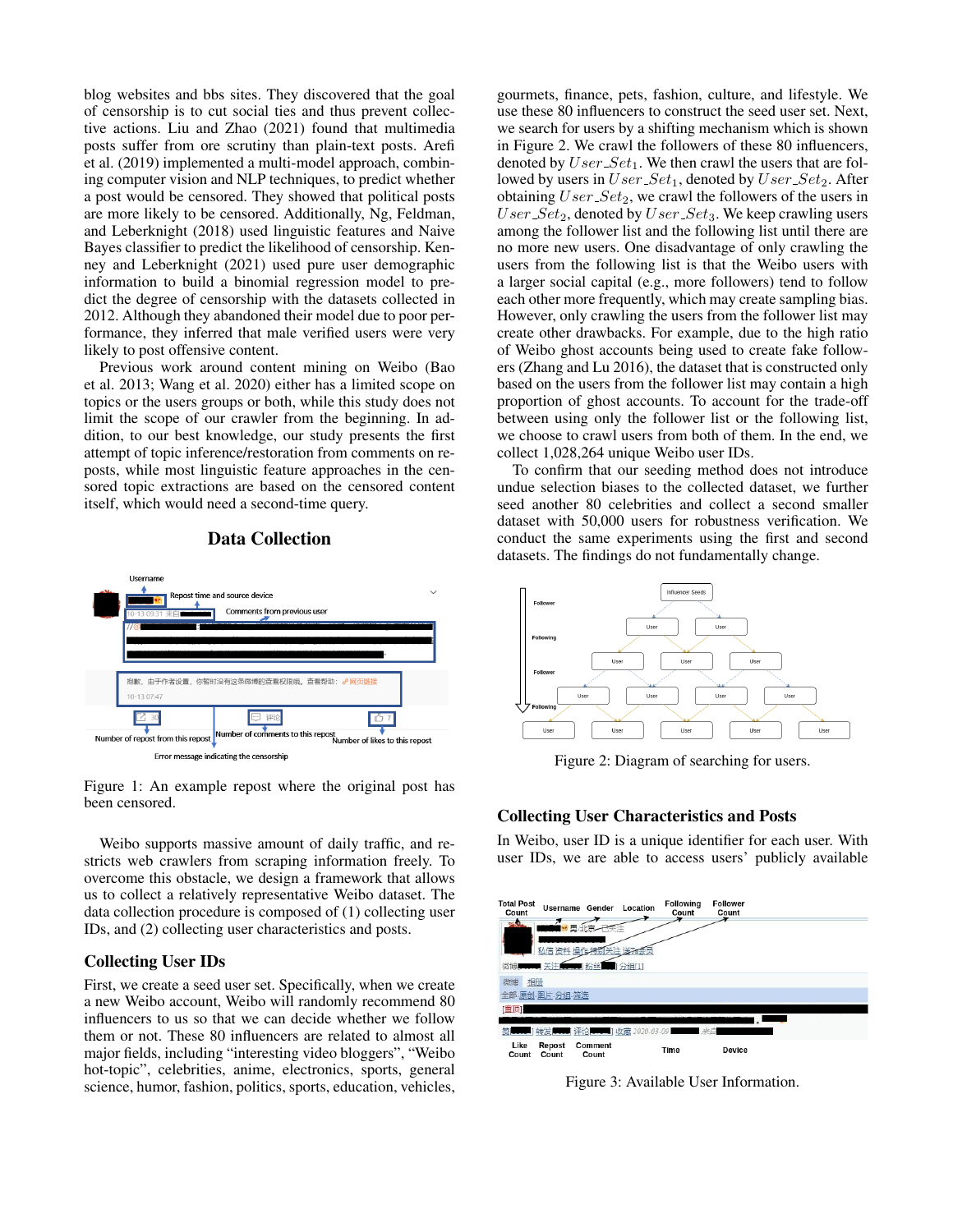blog websites and bbs sites. They discovered that the goal of censorship is to cut social ties and thus prevent collective actions. Liu and Zhao (2021) found that multimedia posts suffer from ore scrutiny than plain-text posts. Arefi et al. (2019) implemented a multi-model approach, combining computer vision and NLP techniques, to predict whether a post would be censored. They showed that political posts are more likely to be censored. Additionally, Ng, Feldman, and Leberknight (2018) used linguistic features and Naive Bayes classifier to predict the likelihood of censorship. Kenney and Leberknight (2021) used pure user demographic information to build a binomial regression model to predict the degree of censorship with the datasets collected in 2012. Although they abandoned their model due to poor performance, they inferred that male verified users were very likely to post offensive content.

Previous work around content mining on Weibo (Bao et al. 2013; Wang et al. 2020) either has a limited scope on topics or the users groups or both, while this study does not limit the scope of our crawler from the beginning. In addition, to our best knowledge, our study presents the first attempt of topic inference/restoration from comments on reposts, while most linguistic feature approaches in the censored topic extractions are based on the censored content itself, which would need a second-time query.



# Data Collection

Figure 1: An example repost where the original post has been censored.

Weibo supports massive amount of daily traffic, and restricts web crawlers from scraping information freely. To overcome this obstacle, we design a framework that allows us to collect a relatively representative Weibo dataset. The data collection procedure is composed of (1) collecting user IDs, and (2) collecting user characteristics and posts.

#### Collecting User IDs

First, we create a seed user set. Specifically, when we create a new Weibo account, Weibo will randomly recommend 80 influencers to us so that we can decide whether we follow them or not. These 80 influencers are related to almost all major fields, including "interesting video bloggers", "Weibo hot-topic", celebrities, anime, electronics, sports, general science, humor, fashion, politics, sports, education, vehicles,

gourmets, finance, pets, fashion, culture, and lifestyle. We use these 80 influencers to construct the seed user set. Next, we search for users by a shifting mechanism which is shown in Figure 2. We crawl the followers of these 80 influencers, denoted by  $User\_Set_1$ . We then crawl the users that are followed by users in  $User\_Set_1$ , denoted by  $User\_Set_2$ . After obtaining  $User\_Set_2$ , we crawl the followers of the users in  $User\_Set_2$ , denoted by  $User\_Set_3$ . We keep crawling users among the follower list and the following list until there are no more new users. One disadvantage of only crawling the users from the following list is that the Weibo users with a larger social capital (e.g., more followers) tend to follow each other more frequently, which may create sampling bias. However, only crawling the users from the follower list may create other drawbacks. For example, due to the high ratio of Weibo ghost accounts being used to create fake followers (Zhang and Lu 2016), the dataset that is constructed only based on the users from the follower list may contain a high proportion of ghost accounts. To account for the trade-off between using only the follower list or the following list, we choose to crawl users from both of them. In the end, we collect 1,028,264 unique Weibo user IDs.

To confirm that our seeding method does not introduce undue selection biases to the collected dataset, we further seed another 80 celebrities and collect a second smaller dataset with 50,000 users for robustness verification. We conduct the same experiments using the first and second datasets. The findings do not fundamentally change.



Figure 2: Diagram of searching for users.

#### Collecting User Characteristics and Posts

In Weibo, user ID is a unique identifier for each user. With user IDs, we are able to access users' publicly available



Figure 3: Available User Information.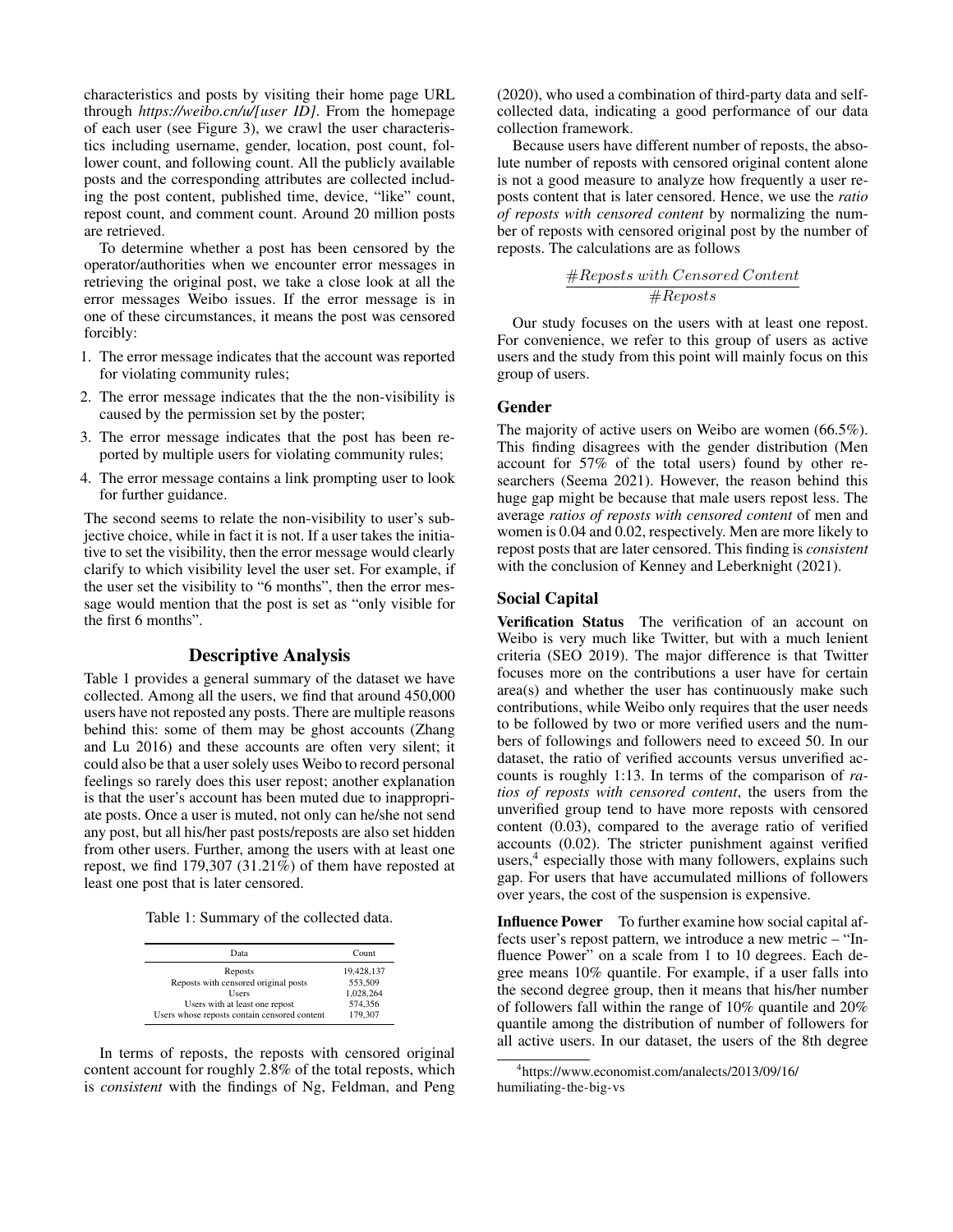characteristics and posts by visiting their home page URL through *https://weibo.cn/u/[user ID]*. From the homepage of each user (see Figure 3), we crawl the user characteristics including username, gender, location, post count, follower count, and following count. All the publicly available posts and the corresponding attributes are collected including the post content, published time, device, "like" count, repost count, and comment count. Around 20 million posts are retrieved.

To determine whether a post has been censored by the operator/authorities when we encounter error messages in retrieving the original post, we take a close look at all the error messages Weibo issues. If the error message is in one of these circumstances, it means the post was censored forcibly:

- 1. The error message indicates that the account was reported for violating community rules;
- 2. The error message indicates that the the non-visibility is caused by the permission set by the poster;
- 3. The error message indicates that the post has been reported by multiple users for violating community rules;
- 4. The error message contains a link prompting user to look for further guidance.

The second seems to relate the non-visibility to user's subjective choice, while in fact it is not. If a user takes the initiative to set the visibility, then the error message would clearly clarify to which visibility level the user set. For example, if the user set the visibility to "6 months", then the error message would mention that the post is set as "only visible for the first 6 months".

#### Descriptive Analysis

Table 1 provides a general summary of the dataset we have collected. Among all the users, we find that around 450,000 users have not reposted any posts. There are multiple reasons behind this: some of them may be ghost accounts (Zhang and Lu 2016) and these accounts are often very silent; it could also be that a user solely uses Weibo to record personal feelings so rarely does this user repost; another explanation is that the user's account has been muted due to inappropriate posts. Once a user is muted, not only can he/she not send any post, but all his/her past posts/reposts are also set hidden from other users. Further, among the users with at least one repost, we find 179,307 (31.21%) of them have reposted at least one post that is later censored.

Table 1: Summary of the collected data.

| Data                                         | Count      |
|----------------------------------------------|------------|
| Reposts                                      | 19,428,137 |
| Reposts with censored original posts         | 553,509    |
| <b>Users</b>                                 | 1.028.264  |
| Users with at least one repost               | 574.356    |
| Users whose reposts contain censored content | 179,307    |

In terms of reposts, the reposts with censored original content account for roughly 2.8% of the total reposts, which is *consistent* with the findings of Ng, Feldman, and Peng

(2020), who used a combination of third-party data and selfcollected data, indicating a good performance of our data collection framework.

Because users have different number of reposts, the absolute number of reposts with censored original content alone is not a good measure to analyze how frequently a user reposts content that is later censored. Hence, we use the *ratio of reposts with censored content* by normalizing the number of reposts with censored original post by the number of reposts. The calculations are as follows

$$
\frac{\#Re posts\ with\ Censored\ Content}{\#Re posts}
$$

Our study focuses on the users with at least one repost. For convenience, we refer to this group of users as active users and the study from this point will mainly focus on this group of users.

# Gender

The majority of active users on Weibo are women (66.5%). This finding disagrees with the gender distribution (Men account for 57% of the total users) found by other researchers (Seema 2021). However, the reason behind this huge gap might be because that male users repost less. The average *ratios of reposts with censored content* of men and women is 0.04 and 0.02, respectively. Men are more likely to repost posts that are later censored. This finding is *consistent* with the conclusion of Kenney and Leberknight (2021).

## Social Capital

Verification Status The verification of an account on Weibo is very much like Twitter, but with a much lenient criteria (SEO 2019). The major difference is that Twitter focuses more on the contributions a user have for certain area(s) and whether the user has continuously make such contributions, while Weibo only requires that the user needs to be followed by two or more verified users and the numbers of followings and followers need to exceed 50. In our dataset, the ratio of verified accounts versus unverified accounts is roughly 1:13. In terms of the comparison of *ratios of reposts with censored content*, the users from the unverified group tend to have more reposts with censored content (0.03), compared to the average ratio of verified accounts (0.02). The stricter punishment against verified users,<sup>4</sup> especially those with many followers, explains such gap. For users that have accumulated millions of followers over years, the cost of the suspension is expensive.

Influence Power To further examine how social capital affects user's repost pattern, we introduce a new metric – "Influence Power" on a scale from 1 to 10 degrees. Each degree means 10% quantile. For example, if a user falls into the second degree group, then it means that his/her number of followers fall within the range of 10% quantile and 20% quantile among the distribution of number of followers for all active users. In our dataset, the users of the 8th degree

<sup>4</sup> https://www.economist.com/analects/2013/09/16/ humiliating-the-big-vs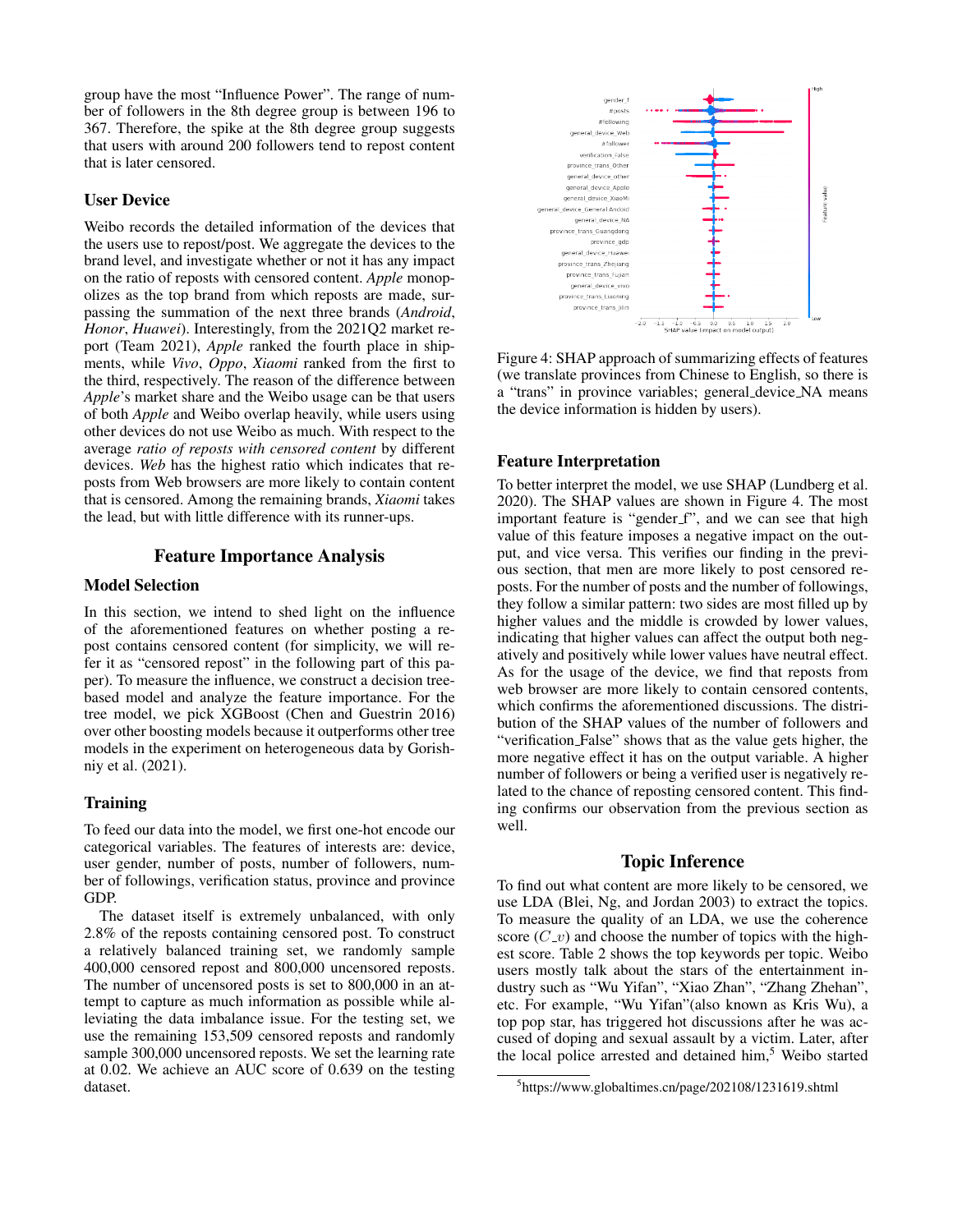group have the most "Influence Power". The range of number of followers in the 8th degree group is between 196 to 367. Therefore, the spike at the 8th degree group suggests that users with around 200 followers tend to repost content that is later censored.

## User Device

Weibo records the detailed information of the devices that the users use to repost/post. We aggregate the devices to the brand level, and investigate whether or not it has any impact on the ratio of reposts with censored content. *Apple* monopolizes as the top brand from which reposts are made, surpassing the summation of the next three brands (*Android*, *Honor*, *Huawei*). Interestingly, from the 2021Q2 market report (Team 2021), *Apple* ranked the fourth place in shipments, while *Vivo*, *Oppo*, *Xiaomi* ranked from the first to the third, respectively. The reason of the difference between *Apple*'s market share and the Weibo usage can be that users of both *Apple* and Weibo overlap heavily, while users using other devices do not use Weibo as much. With respect to the average *ratio of reposts with censored content* by different devices. *Web* has the highest ratio which indicates that reposts from Web browsers are more likely to contain content that is censored. Among the remaining brands, *Xiaomi* takes the lead, but with little difference with its runner-ups.

## Feature Importance Analysis

#### Model Selection

In this section, we intend to shed light on the influence of the aforementioned features on whether posting a repost contains censored content (for simplicity, we will refer it as "censored repost" in the following part of this paper). To measure the influence, we construct a decision treebased model and analyze the feature importance. For the tree model, we pick XGBoost (Chen and Guestrin 2016) over other boosting models because it outperforms other tree models in the experiment on heterogeneous data by Gorishniy et al. (2021).

#### **Training**

To feed our data into the model, we first one-hot encode our categorical variables. The features of interests are: device, user gender, number of posts, number of followers, number of followings, verification status, province and province GDP.

The dataset itself is extremely unbalanced, with only 2.8% of the reposts containing censored post. To construct a relatively balanced training set, we randomly sample 400,000 censored repost and 800,000 uncensored reposts. The number of uncensored posts is set to 800,000 in an attempt to capture as much information as possible while alleviating the data imbalance issue. For the testing set, we use the remaining 153,509 censored reposts and randomly sample 300,000 uncensored reposts. We set the learning rate at 0.02. We achieve an AUC score of 0.639 on the testing dataset.



Figure 4: SHAP approach of summarizing effects of features (we translate provinces from Chinese to English, so there is a "trans" in province variables; general device NA means the device information is hidden by users).

# Feature Interpretation

To better interpret the model, we use SHAP (Lundberg et al. 2020). The SHAP values are shown in Figure 4. The most important feature is "gender\_f", and we can see that high value of this feature imposes a negative impact on the output, and vice versa. This verifies our finding in the previous section, that men are more likely to post censored reposts. For the number of posts and the number of followings, they follow a similar pattern: two sides are most filled up by higher values and the middle is crowded by lower values, indicating that higher values can affect the output both negatively and positively while lower values have neutral effect. As for the usage of the device, we find that reposts from web browser are more likely to contain censored contents, which confirms the aforementioned discussions. The distribution of the SHAP values of the number of followers and "verification False" shows that as the value gets higher, the more negative effect it has on the output variable. A higher number of followers or being a verified user is negatively related to the chance of reposting censored content. This finding confirms our observation from the previous section as well.

#### Topic Inference

To find out what content are more likely to be censored, we use LDA (Blei, Ng, and Jordan 2003) to extract the topics. To measure the quality of an LDA, we use the coherence score  $(C_{\nu})$  and choose the number of topics with the highest score. Table 2 shows the top keywords per topic. Weibo users mostly talk about the stars of the entertainment industry such as "Wu Yifan", "Xiao Zhan", "Zhang Zhehan", etc. For example, "Wu Yifan"(also known as Kris Wu), a top pop star, has triggered hot discussions after he was accused of doping and sexual assault by a victim. Later, after the local police arrested and detained him,<sup>5</sup> Weibo started

<sup>5</sup> https://www.globaltimes.cn/page/202108/1231619.shtml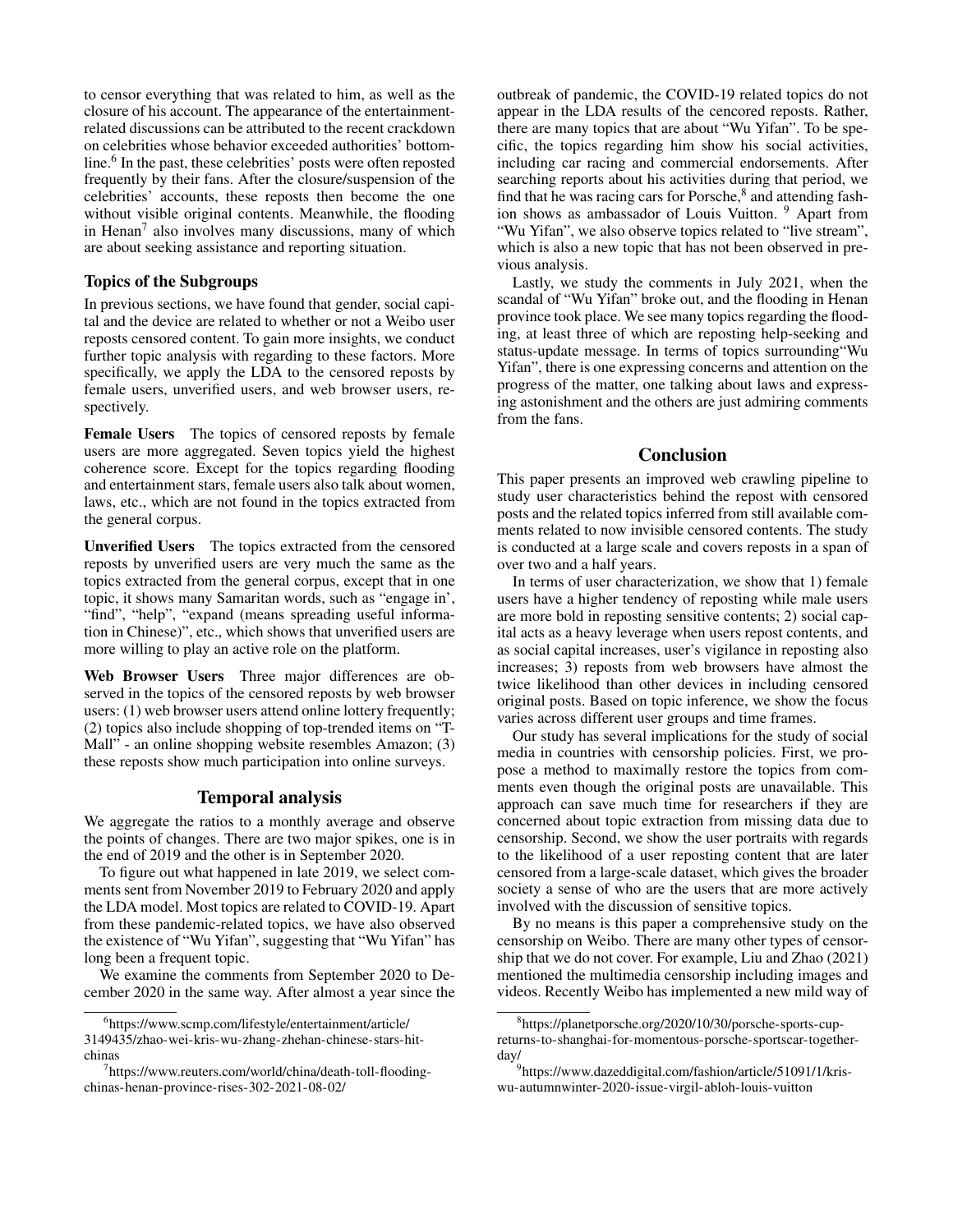to censor everything that was related to him, as well as the closure of his account. The appearance of the entertainmentrelated discussions can be attributed to the recent crackdown on celebrities whose behavior exceeded authorities' bottomline.<sup>6</sup> In the past, these celebrities' posts were often reposted frequently by their fans. After the closure/suspension of the celebrities' accounts, these reposts then become the one without visible original contents. Meanwhile, the flooding in Henan<sup>7</sup> also involves many discussions, many of which are about seeking assistance and reporting situation.

# Topics of the Subgroups

In previous sections, we have found that gender, social capital and the device are related to whether or not a Weibo user reposts censored content. To gain more insights, we conduct further topic analysis with regarding to these factors. More specifically, we apply the LDA to the censored reposts by female users, unverified users, and web browser users, respectively.

Female Users The topics of censored reposts by female users are more aggregated. Seven topics yield the highest coherence score. Except for the topics regarding flooding and entertainment stars, female users also talk about women, laws, etc., which are not found in the topics extracted from the general corpus.

Unverified Users The topics extracted from the censored reposts by unverified users are very much the same as the topics extracted from the general corpus, except that in one topic, it shows many Samaritan words, such as "engage in', "find", "help", "expand (means spreading useful information in Chinese)", etc., which shows that unverified users are more willing to play an active role on the platform.

Web Browser Users Three major differences are observed in the topics of the censored reposts by web browser users: (1) web browser users attend online lottery frequently; (2) topics also include shopping of top-trended items on "T-Mall" - an online shopping website resembles Amazon; (3) these reposts show much participation into online surveys.

# Temporal analysis

We aggregate the ratios to a monthly average and observe the points of changes. There are two major spikes, one is in the end of 2019 and the other is in September 2020.

To figure out what happened in late 2019, we select comments sent from November 2019 to February 2020 and apply the LDA model. Most topics are related to COVID-19. Apart from these pandemic-related topics, we have also observed the existence of "Wu Yifan", suggesting that "Wu Yifan" has long been a frequent topic.

We examine the comments from September 2020 to December 2020 in the same way. After almost a year since the

outbreak of pandemic, the COVID-19 related topics do not appear in the LDA results of the cencored reposts. Rather, there are many topics that are about "Wu Yifan". To be specific, the topics regarding him show his social activities, including car racing and commercial endorsements. After searching reports about his activities during that period, we find that he was racing cars for Porsche,<sup>8</sup> and attending fashion shows as ambassador of Louis Vuitton. <sup>9</sup> Apart from "Wu Yifan", we also observe topics related to "live stream", which is also a new topic that has not been observed in previous analysis.

Lastly, we study the comments in July 2021, when the scandal of "Wu Yifan" broke out, and the flooding in Henan province took place. We see many topics regarding the flooding, at least three of which are reposting help-seeking and status-update message. In terms of topics surrounding"Wu Yifan", there is one expressing concerns and attention on the progress of the matter, one talking about laws and expressing astonishment and the others are just admiring comments from the fans.

## **Conclusion**

This paper presents an improved web crawling pipeline to study user characteristics behind the repost with censored posts and the related topics inferred from still available comments related to now invisible censored contents. The study is conducted at a large scale and covers reposts in a span of over two and a half years.

In terms of user characterization, we show that 1) female users have a higher tendency of reposting while male users are more bold in reposting sensitive contents; 2) social capital acts as a heavy leverage when users repost contents, and as social capital increases, user's vigilance in reposting also increases; 3) reposts from web browsers have almost the twice likelihood than other devices in including censored original posts. Based on topic inference, we show the focus varies across different user groups and time frames.

Our study has several implications for the study of social media in countries with censorship policies. First, we propose a method to maximally restore the topics from comments even though the original posts are unavailable. This approach can save much time for researchers if they are concerned about topic extraction from missing data due to censorship. Second, we show the user portraits with regards to the likelihood of a user reposting content that are later censored from a large-scale dataset, which gives the broader society a sense of who are the users that are more actively involved with the discussion of sensitive topics.

By no means is this paper a comprehensive study on the censorship on Weibo. There are many other types of censorship that we do not cover. For example, Liu and Zhao (2021) mentioned the multimedia censorship including images and videos. Recently Weibo has implemented a new mild way of

<sup>6</sup> https://www.scmp.com/lifestyle/entertainment/article/ 3149435/zhao-wei-kris-wu-zhang-zhehan-chinese-stars-hitchinas

<sup>7</sup> https://www.reuters.com/world/china/death-toll-floodingchinas-henan-province-rises-302-2021-08-02/

<sup>8</sup> https://planetporsche.org/2020/10/30/porsche-sports-cupreturns-to-shanghai-for-momentous-porsche-sportscar-togetherday/

<sup>9</sup> https://www.dazeddigital.com/fashion/article/51091/1/kriswu-autumnwinter-2020-issue-virgil-abloh-louis-vuitton